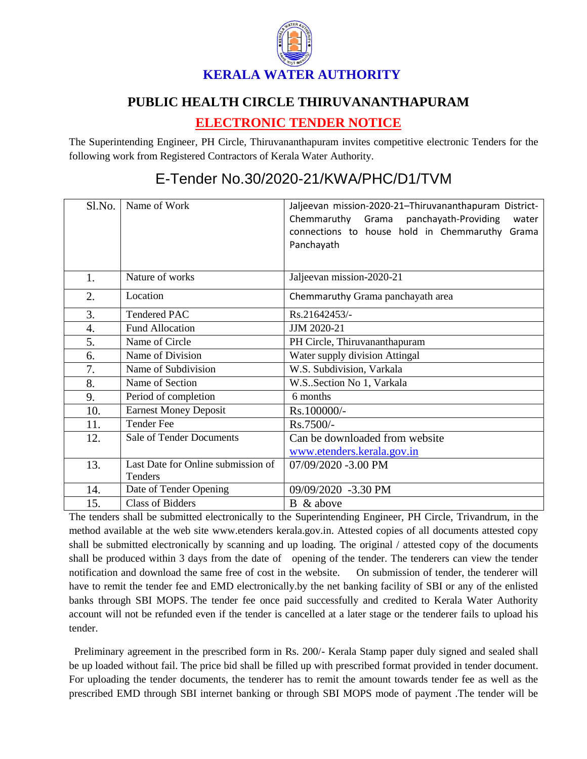

## **PUBLIC HEALTH CIRCLE THIRUVANANTHAPURAM**

## **ELECTRONIC TENDER NOTICE**

The Superintending Engineer, PH Circle, Thiruvananthapuram invites competitive electronic Tenders for the following work from Registered Contractors of Kerala Water Authority.

## Sl.No. Name of Work and Allieevan mission-2020-21–Thiruvananthapuram District-Chemmaruthy Grama panchayath-Providing water connections to house hold in Chemmaruthy Grama Panchayath 1. Nature of works Jaljeevan mission-2020-21 2. Location Chemmaruthy Grama panchayath area 3. Tendered PAC Rs.21642453/-4. Fund Allocation JJM 2020-21 5. Name of Circle PH Circle, Thiruvananthapuram 6. Name of Division Water supply division Attingal 7. Name of Subdivision W.S. Subdivision, Varkala 8. Name of Section W.S. Section No 1, Varkala 9. Period of completion 6 months 10. Earnest Money Deposit Rs.100000/-11.  $\boxed{\text{Tender} \text{Fe}}$  Rs.7500/-12. Sale of Tender Documents Can be downloaded from website [www.etenders.kerala.gov.in](../../../SUBHADRA/KWA/Downloads/www.etenders.kerala.gov.in) 13. Last Date for Online submission of Tenders 07/09/2020 -3.00 PM 14. Date of Tender Opening 09/09/2020 -3.30 PM  $\overline{15}$  Class of Bidders B & above

## E-Tender No.30/2020-21/KWA/PHC/D1/TVM

The tenders shall be submitted electronically to the Superintending Engineer, PH Circle, Trivandrum, in the method available at the web site www.etenders kerala.gov.in. Attested copies of all documents attested copy shall be submitted electronically by scanning and up loading. The original / attested copy of the documents shall be produced within 3 days from the date of opening of the tender. The tenderers can view the tender notification and download the same free of cost in the website. On submission of tender, the tenderer will have to remit the tender fee and EMD electronically.by the net banking facility of SBI or any of the enlisted banks through SBI MOPS. The tender fee once paid successfully and credited to Kerala Water Authority account will not be refunded even if the tender is cancelled at a later stage or the tenderer fails to upload his tender.

 Preliminary agreement in the prescribed form in Rs. 200/- Kerala Stamp paper duly signed and sealed shall be up loaded without fail. The price bid shall be filled up with prescribed format provided in tender document. For uploading the tender documents, the tenderer has to remit the amount towards tender fee as well as the prescribed EMD through SBI internet banking or through SBI MOPS mode of payment .The tender will be